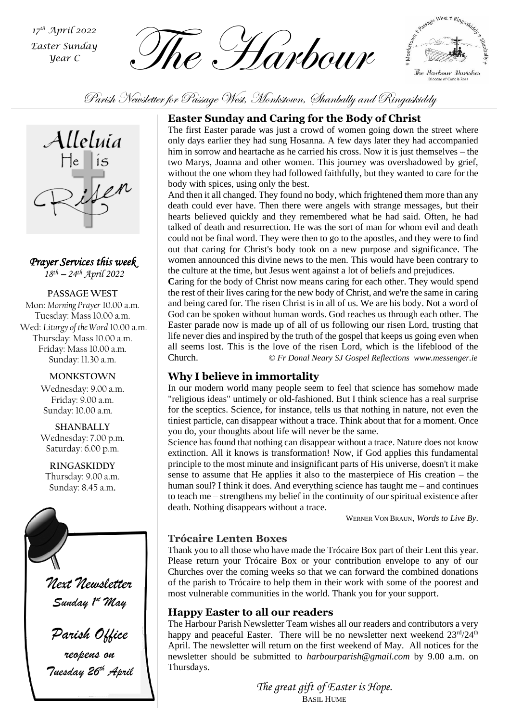*th April 2022 Easter Sunday Year C*

The Harbour *<sup>17</sup>*



Parish Newsletter for Passage West, Monkstown, Shanbally and Ringaskiddy



*Prayer Services this week 18 th – 24th April 2022*

**PASSAGE WEST** Mon: *Morning Prayer* 10.00 a.m. Tuesday: Mass 10.00 a.m. Wed: *Liturgy of the Word* 10.00 a.m. Thursday: Mass 10.00 a.m. Friday: Mass 10.00 a.m. Sunday: 11.30 a.m.

#### **MONKSTOWN**

Wednesday: 9.00 a.m. Friday: 9.00 a.m. Sunday: 10.00 a.m.

**SHANBALLY** Wednesday: 7.00 p.m. Saturday: 6.00 p.m.

**RINGASKIDDY** Thursday: 9.00 a.m. Sunday: 8.45 a.m.



*Tuesday 26th April*

#### **Easter Sunday and Caring for the Body of Christ**

The first Easter parade was just a crowd of women going down the street where only days earlier they had sung Hosanna. A few days later they had accompanied him in sorrow and heartache as he carried his cross. Now it is just themselves – the two Marys, Joanna and other women. This journey was overshadowed by grief, without the one whom they had followed faithfully, but they wanted to care for the body with spices, using only the best.

And then it all changed. They found no body, which frightened them more than any death could ever have. Then there were angels with strange messages, but their hearts believed quickly and they remembered what he had said. Often, he had talked of death and resurrection. He was the sort of man for whom evil and death could not be final word. They were then to go to the apostles, and they were to find out that caring for Christ's body took on a new purpose and significance. The women announced this divine news to the men. This would have been contrary to the culture at the time, but Jesus went against a lot of beliefs and prejudices.

**C**aring for the body of Christ now means caring for each other. They would spend the rest of their lives caring for the new body of Christ, and we're the same in caring and being cared for. The risen Christ is in all of us. We are his body. Not a word of God can be spoken without human words. God reaches us through each other. The Easter parade now is made up of all of us following our risen Lord, trusting that life never dies and inspired by the truth of the gospel that keeps us going even when all seems lost. This is the love of the risen Lord, which is the lifeblood of the Church. *© Fr Donal Neary SJ Gospel Reflections [www.messenger.ie](http://www.messenger.ie/)*

### **Why I believe in immortality**

*Parish Assembly* you do, your thoughts about life will never be the same. In our modern world many people seem to feel that science has somehow made "religious ideas" untimely or old-fashioned. But I think science has a real surprise for the sceptics. Science, for instance, tells us that nothing in nature, not even the tiniest particle, can disappear without a trace. Think about that for a moment. Once

Science has found that nothing can disappear without a trace. Nature does not know extinction. All it knows is transformation! Now, if God applies this fundamental principle to the most minute and insignificant parts of His universe, doesn't it make sense to assume that He applies it also to the masterpiece of His creation – the human soul? I think it does. And everything science has taught me – and continues to teach me – strengthens my belief in the continuity of our spiritual existence after death. Nothing disappears without a trace.

WERNER VON BRAUN, *Words to Live By*.

### **Trócaire Lenten Boxes**

Thank you to all those who have made the Trócaire Box part of their Lent this year. Please return your Trócaire Box or your contribution envelope to any of our Churches over the coming weeks so that we can forward the combined donations of the parish to Trócaire to help them in their work with some of the poorest and most vulnerable communities in the world. Thank you for your support.

#### **Happy Easter to all our readers**

The Harbour Parish Newsletter Team wishes all our readers and contributors a very happy and peaceful Easter. There will be no newsletter next weekend  $23^{\text{rd}}/24^{\text{th}}$ April. The newsletter will return on the first weekend of May. All notices for the newsletter should be submitted to *[harbourparish@gmail.com](mailto:harbourparish@gmail.com)* by 9.00 a.m. on Thursdays.

> *The great gift of Easter is Hope.* BASIL HUME